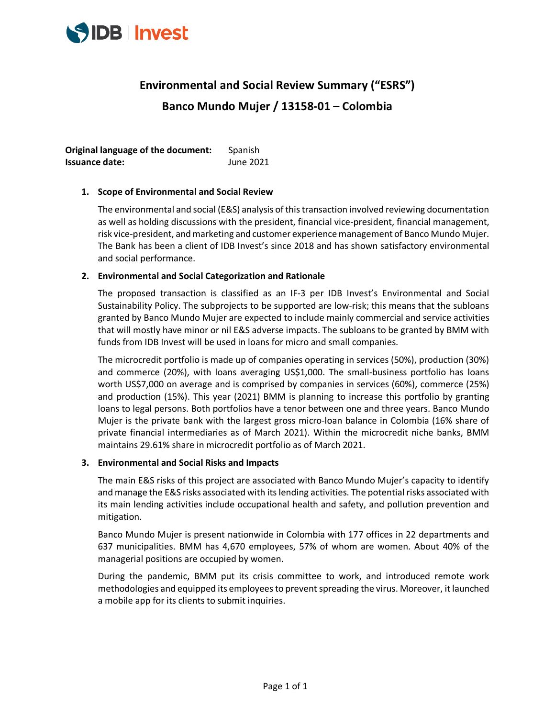

# **Environmental and Social Review Summary ("ESRS") Banco Mundo Mujer / 13158-01 – Colombia**

**Original language of the document:** Spanish **Issuance date:** June 2021

# **1. Scope of Environmental and Social Review**

The environmental and social (E&S) analysis of this transaction involved reviewing documentation as well as holding discussions with the president, financial vice-president, financial management, risk vice-president, and marketing and customer experience management of Banco Mundo Mujer. The Bank has been a client of IDB Invest's since 2018 and has shown satisfactory environmental and social performance.

## **2. Environmental and Social Categorization and Rationale**

The proposed transaction is classified as an IF-3 per IDB Invest's Environmental and Social Sustainability Policy. The subprojects to be supported are low-risk; this means that the subloans granted by Banco Mundo Mujer are expected to include mainly commercial and service activities that will mostly have minor or nil E&S adverse impacts. The subloans to be granted by BMM with funds from IDB Invest will be used in loans for micro and small companies.

The microcredit portfolio is made up of companies operating in services (50%), production (30%) and commerce (20%), with loans averaging US\$1,000. The small-business portfolio has loans worth US\$7,000 on average and is comprised by companies in services (60%), commerce (25%) and production (15%). This year (2021) BMM is planning to increase this portfolio by granting loans to legal persons. Both portfolios have a tenor between one and three years. Banco Mundo Mujer is the private bank with the largest gross micro-loan balance in Colombia (16% share of private financial intermediaries as of March 2021). Within the microcredit niche banks, BMM maintains 29.61% share in microcredit portfolio as of March 2021.

#### **3. Environmental and Social Risks and Impacts**

The main E&S risks of this project are associated with Banco Mundo Mujer's capacity to identify and manage the E&S risks associated with its lending activities. The potential risks associated with its main lending activities include occupational health and safety, and pollution prevention and mitigation.

Banco Mundo Mujer is present nationwide in Colombia with 177 offices in 22 departments and 637 municipalities. BMM has 4,670 employees, 57% of whom are women. About 40% of the managerial positions are occupied by women.

During the pandemic, BMM put its crisis committee to work, and introduced remote work methodologies and equipped its employees to prevent spreading the virus. Moreover, it launched a mobile app for its clients to submit inquiries.